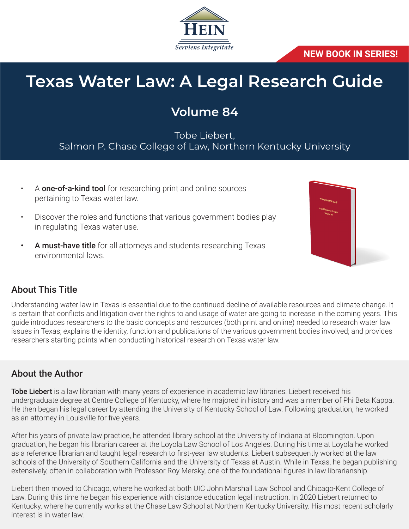

#### **NEW BOOK IN SERIES!**

# **Texas Water Law: A Legal Research Guide**

# **Volume 84**

Tobe Liebert, Salmon P. Chase College of Law, Northern Kentucky University

- A **one-of-a-kind tool** for researching print and online sources pertaining to Texas water law.
- Discover the roles and functions that various government bodies play in regulating Texas water use.
- A must-have title for all attorneys and students researching Texas environmental laws.



### About This Title

Understanding water law in Texas is essential due to the continued decline of available resources and climate change. It is certain that conflicts and litigation over the rights to and usage of water are going to increase in the coming years. This guide introduces researchers to the basic concepts and resources (both print and online) needed to research water law issues in Texas; explains the identity, function and publications of the various government bodies involved; and provides researchers starting points when conducting historical research on Texas water law.

#### About the Author

Tobe Liebert is a law librarian with many years of experience in academic law libraries. Liebert received his undergraduate degree at Centre College of Kentucky, where he majored in history and was a member of Phi Beta Kappa. He then began his legal career by attending the University of Kentucky School of Law. Following graduation, he worked as an attorney in Louisville for five years.

After his years of private law practice, he attended library school at the University of Indiana at Bloomington. Upon graduation, he began his librarian career at the Loyola Law School of Los Angeles. During his time at Loyola he worked as a reference librarian and taught legal research to first-year law students. Liebert subsequently worked at the law schools of the University of Southern California and the University of Texas at Austin. While in Texas, he began publishing extensively, often in collaboration with Professor Roy Mersky, one of the foundational figures in law librarianship.

Liebert then moved to Chicago, where he worked at both UIC John Marshall Law School and Chicago-Kent College of Law. During this time he began his experience with distance education legal instruction. In 2020 Liebert returned to Kentucky, where he currently works at the Chase Law School at Northern Kentucky University. His most recent scholarly interest is in water law.